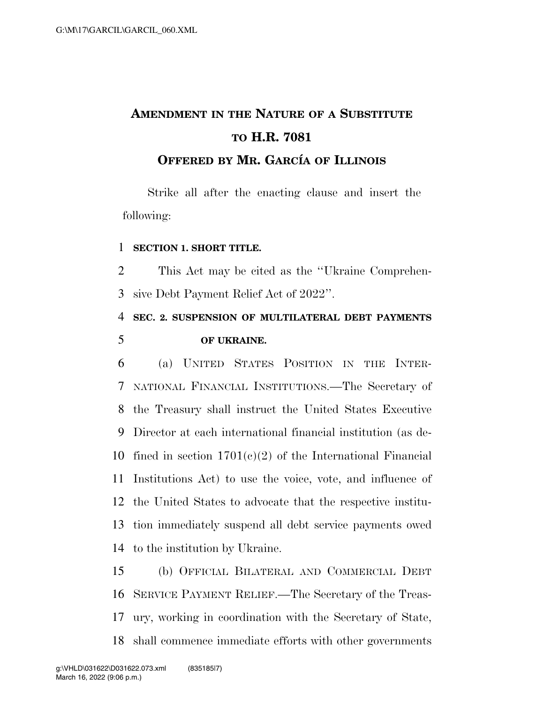# **AMENDMENT IN THE NATURE OF A SUBSTITUTE TO H.R. 7081 OFFERED BY MR. GARCI´A OF ILLINOIS**

Strike all after the enacting clause and insert the following:

#### **SECTION 1. SHORT TITLE.**

 This Act may be cited as the ''Ukraine Comprehen-sive Debt Payment Relief Act of 2022''.

### **SEC. 2. SUSPENSION OF MULTILATERAL DEBT PAYMENTS OF UKRAINE.**

 (a) UNITED STATES POSITION IN THE INTER- NATIONAL FINANCIAL INSTITUTIONS.—The Secretary of the Treasury shall instruct the United States Executive Director at each international financial institution (as de-10 fined in section  $1701(c)(2)$  of the International Financial Institutions Act) to use the voice, vote, and influence of the United States to advocate that the respective institu- tion immediately suspend all debt service payments owed to the institution by Ukraine.

 (b) OFFICIAL BILATERAL AND COMMERCIAL DEBT SERVICE PAYMENT RELIEF.—The Secretary of the Treas- ury, working in coordination with the Secretary of State, shall commence immediate efforts with other governments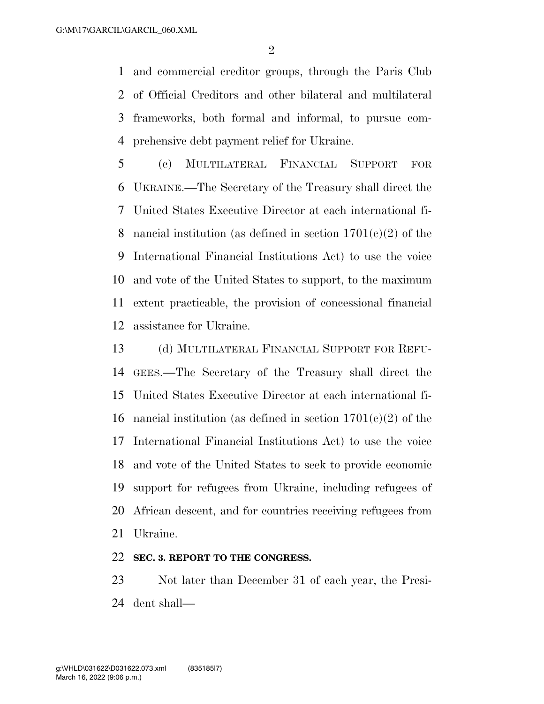$\mathcal{D}_{\mathcal{L}}$ 

 and commercial creditor groups, through the Paris Club of Official Creditors and other bilateral and multilateral frameworks, both formal and informal, to pursue com-prehensive debt payment relief for Ukraine.

 (c) MULTILATERAL FINANCIAL SUPPORT FOR UKRAINE.—The Secretary of the Treasury shall direct the United States Executive Director at each international fi-8 nancial institution (as defined in section  $1701(e)(2)$  of the International Financial Institutions Act) to use the voice and vote of the United States to support, to the maximum extent practicable, the provision of concessional financial assistance for Ukraine.

 (d) MULTILATERAL FINANCIAL SUPPORT FOR REFU- GEES.—The Secretary of the Treasury shall direct the United States Executive Director at each international fi-16 nancial institution (as defined in section  $1701(e)(2)$  of the International Financial Institutions Act) to use the voice and vote of the United States to seek to provide economic support for refugees from Ukraine, including refugees of African descent, and for countries receiving refugees from Ukraine.

#### **SEC. 3. REPORT TO THE CONGRESS.**

 Not later than December 31 of each year, the Presi-dent shall